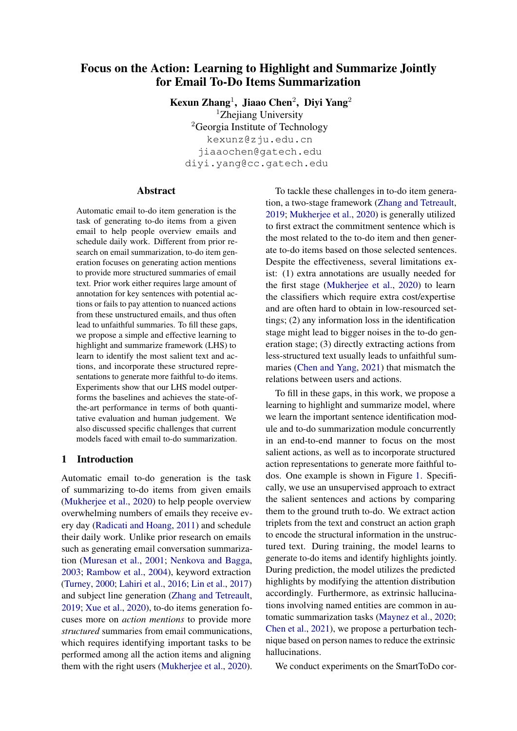# Focus on the Action: Learning to Highlight and Summarize Jointly for Email To-Do Items Summarization

Kexun Zhang<sup>1</sup>, Jiaao Chen<sup>2</sup>, Diyi Yang<sup>2</sup> <sup>1</sup>Zhejiang University <sup>2</sup>Georgia Institute of Technology kexunz@zju.edu.cn jiaaochen@gatech.edu diyi.yang@cc.gatech.edu

#### Abstract

Automatic email to-do item generation is the task of generating to-do items from a given email to help people overview emails and schedule daily work. Different from prior research on email summarization, to-do item generation focuses on generating action mentions to provide more structured summaries of email text. Prior work either requires large amount of annotation for key sentences with potential actions or fails to pay attention to nuanced actions from these unstructured emails, and thus often lead to unfaithful summaries. To fill these gaps, we propose a simple and effective learning to highlight and summarize framework (LHS) to learn to identify the most salient text and actions, and incorporate these structured representations to generate more faithful to-do items. Experiments show that our LHS model outperforms the baselines and achieves the state-ofthe-art performance in terms of both quantitative evaluation and human judgement. We also discussed specific challenges that current models faced with email to-do summarization.

## 1 Introduction

Automatic email to-do generation is the task of summarizing to-do items from given emails [\(Mukherjee et al.,](#page-9-0) [2020\)](#page-9-0) to help people overview overwhelming numbers of emails they receive every day [\(Radicati and Hoang,](#page-10-0) [2011\)](#page-10-0) and schedule their daily work. Unlike prior research on emails such as generating email conversation summarization [\(Muresan et al.,](#page-9-1) [2001;](#page-9-1) [Nenkova and Bagga,](#page-10-1) [2003;](#page-10-1) [Rambow et al.,](#page-10-2) [2004\)](#page-10-2), keyword extraction [\(Turney,](#page-10-3) [2000;](#page-10-3) [Lahiri et al.,](#page-9-2) [2016;](#page-9-2) [Lin et al.,](#page-9-3) [2017\)](#page-9-3) and subject line generation [\(Zhang and Tetreault,](#page-10-4) [2019;](#page-10-4) [Xue et al.,](#page-10-5) [2020\)](#page-10-5), to-do items generation focuses more on *action mentions* to provide more *structured* summaries from email communications, which requires identifying important tasks to be performed among all the action items and aligning them with the right users [\(Mukherjee et al.,](#page-9-0) [2020\)](#page-9-0).

To tackle these challenges in to-do item generation, a two-stage framework [\(Zhang and Tetreault,](#page-10-4) [2019;](#page-10-4) [Mukherjee et al.,](#page-9-0) [2020\)](#page-9-0) is generally utilized to first extract the commitment sentence which is the most related to the to-do item and then generate to-do items based on those selected sentences. Despite the effectiveness, several limitations exist: (1) extra annotations are usually needed for the first stage [\(Mukherjee et al.,](#page-9-0) [2020\)](#page-9-0) to learn the classifiers which require extra cost/expertise and are often hard to obtain in low-resourced settings; (2) any information loss in the identification stage might lead to bigger noises in the to-do generation stage; (3) directly extracting actions from less-structured text usually leads to unfaithful summaries [\(Chen and Yang,](#page-8-0) [2021\)](#page-8-0) that mismatch the relations between users and actions.

To fill in these gaps, in this work, we propose a learning to highlight and summarize model, where we learn the important sentence identification module and to-do summarization module concurrently in an end-to-end manner to focus on the most salient actions, as well as to incorporate structured action representations to generate more faithful todos. One example is shown in Figure [1.](#page-1-0) Specifically, we use an unsupervised approach to extract the salient sentences and actions by comparing them to the ground truth to-do. We extract action triplets from the text and construct an action graph to encode the structural information in the unstructured text. During training, the model learns to generate to-do items and identify highlights jointly. During prediction, the model utilizes the predicted highlights by modifying the attention distribution accordingly. Furthermore, as extrinsic hallucinations involving named entities are common in automatic summarization tasks [\(Maynez et al.,](#page-9-4) [2020;](#page-9-4) [Chen et al.,](#page-8-1) [2021\)](#page-8-1), we propose a perturbation technique based on person names to reduce the extrinsic hallucinations.

We conduct experiments on the SmartToDo cor-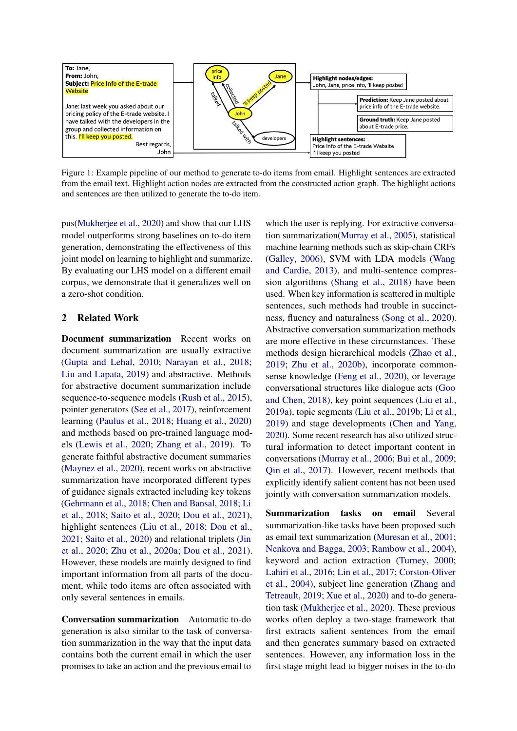<span id="page-1-0"></span>

Figure 1: Example pipeline of our method to generate to-do items from email. Highlight sentences are extracted from the email text. Highlight action nodes are extracted from the constructed action graph. The highlight actions and sentences are then utilized to generate the to-do item.

pus[\(Mukherjee et al.,](#page-9-0) [2020\)](#page-9-0) and show that our LHS model outperforms strong baselines on to-do item generation, demonstrating the effectiveness of this joint model on learning to highlight and summarize. By evaluating our LHS model on a different email corpus, we demonstrate that it generalizes well on a zero-shot condition.

## 2 Related Work

Document summarization Recent works on document summarization are usually extractive [\(Gupta and Lehal,](#page-9-5) [2010;](#page-9-5) [Narayan et al.,](#page-10-6) [2018;](#page-10-6) [Liu and Lapata,](#page-9-6) [2019\)](#page-9-6) and abstractive. Methods for abstractive document summarization include sequence-to-sequence models [\(Rush et al.,](#page-10-7) [2015\)](#page-10-7), pointer generators [\(See et al.,](#page-10-8) [2017\)](#page-10-8), reinforcement learning [\(Paulus et al.,](#page-10-9) [2018;](#page-10-9) [Huang et al.,](#page-9-7) [2020\)](#page-9-7) and methods based on pre-trained language models [\(Lewis et al.,](#page-9-8) [2020;](#page-9-8) [Zhang et al.,](#page-10-10) [2019\)](#page-10-10). To generate faithful abstractive document summaries [\(Maynez et al.,](#page-9-4) [2020\)](#page-9-4), recent works on abstractive summarization have incorporated different types of guidance signals extracted including key tokens [\(Gehrmann et al.,](#page-8-2) [2018;](#page-8-2) [Chen and Bansal,](#page-8-3) [2018;](#page-8-3) [Li](#page-9-9) [et al.,](#page-9-9) [2018;](#page-9-9) [Saito et al.,](#page-10-11) [2020;](#page-10-11) [Dou et al.,](#page-8-4) [2021\)](#page-8-4), highlight sentences [\(Liu et al.,](#page-9-10) [2018;](#page-9-10) [Dou et al.,](#page-8-4) [2021;](#page-8-4) [Saito et al.,](#page-10-11) [2020\)](#page-10-11) and relational triplets [\(Jin](#page-9-11) [et al.,](#page-9-11) [2020;](#page-9-11) [Zhu et al.,](#page-10-12) [2020a;](#page-10-12) [Dou et al.,](#page-8-4) [2021\)](#page-8-4). However, these models are mainly designed to find important information from all parts of the document, while todo items are often associated with only several sentences in emails.

Conversation summarization Automatic to-do generation is also similar to the task of conversation summarization in the way that the input data contains both the current email in which the user promises to take an action and the previous email to

which the user is replying. For extractive conversation summarization[\(Murray et al.,](#page-9-12) [2005\)](#page-9-12), statistical machine learning methods such as skip-chain CRFs [\(Galley,](#page-8-5) [2006\)](#page-8-5), SVM with LDA models [\(Wang](#page-10-13) [and Cardie,](#page-10-13) [2013\)](#page-10-13), and multi-sentence compression algorithms [\(Shang et al.,](#page-10-14) [2018\)](#page-10-14) have been used. When key information is scattered in multiple sentences, such methods had trouble in succinctness, fluency and naturalness [\(Song et al.,](#page-10-15) [2020\)](#page-10-15). Abstractive conversation summarization methods are more effective in these circumstances. These methods design hierarchical models [\(Zhao et al.,](#page-10-16) [2019;](#page-10-16) [Zhu et al.,](#page-10-17) [2020b\)](#page-10-17), incorporate commonsense knowledge [\(Feng et al.,](#page-8-6) [2020\)](#page-8-6), or leverage conversational structures like dialogue acts [\(Goo](#page-8-7) [and Chen,](#page-8-7) [2018\)](#page-8-7), key point sequences [\(Liu et al.,](#page-9-13) [2019a\)](#page-9-13), topic segments [\(Liu et al.,](#page-9-14) [2019b;](#page-9-14) [Li et al.,](#page-9-15) [2019\)](#page-9-15) and stage developments [\(Chen and Yang,](#page-8-8) [2020\)](#page-8-8). Some recent research has also utilized structural information to detect important content in conversations [\(Murray et al.,](#page-9-16) [2006;](#page-9-16) [Bui et al.,](#page-8-9) [2009;](#page-8-9) [Qin et al.,](#page-10-18) [2017\)](#page-10-18). However, recent methods that explicitly identify salient content has not been used jointly with conversation summarization models.

Summarization tasks on email Several summarization-like tasks have been proposed such as email text summarization [\(Muresan et al.,](#page-9-1) [2001;](#page-9-1) [Nenkova and Bagga,](#page-10-1) [2003;](#page-10-1) [Rambow et al.,](#page-10-2) [2004\)](#page-10-2), keyword and action extraction [\(Turney,](#page-10-3) [2000;](#page-10-3) [Lahiri et al.,](#page-9-2) [2016;](#page-9-2) [Lin et al.,](#page-9-3) [2017;](#page-9-3) [Corston-Oliver](#page-8-10) [et al.,](#page-8-10) [2004\)](#page-8-10), subject line generation [\(Zhang and](#page-10-4) [Tetreault,](#page-10-4) [2019;](#page-10-4) [Xue et al.,](#page-10-5) [2020\)](#page-10-5) and to-do generation task [\(Mukherjee et al.,](#page-9-0) [2020\)](#page-9-0). These previous works often deploy a two-stage framework that first extracts salient sentences from the email and then generates summary based on extracted sentences. However, any information loss in the first stage might lead to bigger noises in the to-do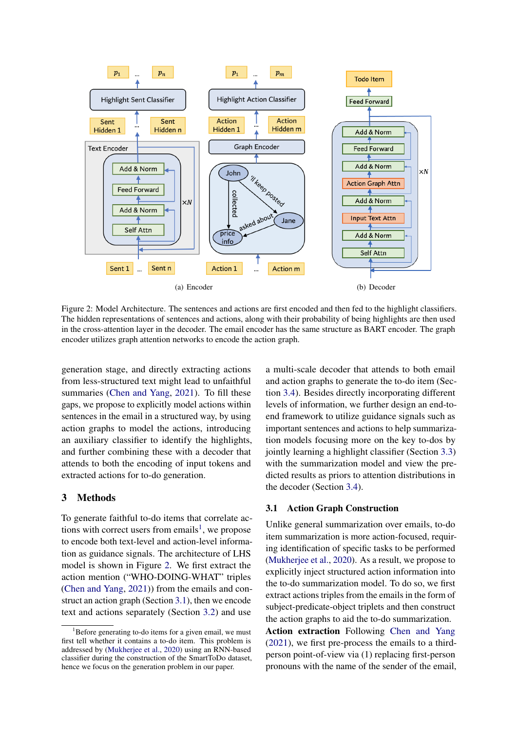<span id="page-2-1"></span>

Figure 2: Model Architecture. The sentences and actions are first encoded and then fed to the highlight classifiers. The hidden representations of sentences and actions, along with their probability of being highlights are then used in the cross-attention layer in the decoder. The email encoder has the same structure as BART encoder. The graph encoder utilizes graph attention networks to encode the action graph.

generation stage, and directly extracting actions from less-structured text might lead to unfaithful summaries [\(Chen and Yang,](#page-8-0) [2021\)](#page-8-0). To fill these gaps, we propose to explicitly model actions within sentences in the email in a structured way, by using action graphs to model the actions, introducing an auxiliary classifier to identify the highlights, and further combining these with a decoder that attends to both the encoding of input tokens and extracted actions for to-do generation.

## 3 Methods

To generate faithful to-do items that correlate ac-tions with correct users from emails<sup>[1](#page-2-0)</sup>, we propose to encode both text-level and action-level information as guidance signals. The architecture of LHS model is shown in Figure [2.](#page-2-1) We first extract the action mention ("WHO-DOING-WHAT" triples [\(Chen and Yang,](#page-8-0) [2021\)](#page-8-0)) from the emails and construct an action graph (Section [3.1\)](#page-2-2), then we encode text and actions separately (Section [3.2\)](#page-3-0) and use

a multi-scale decoder that attends to both email and action graphs to generate the to-do item (Section [3.4\)](#page-4-0). Besides directly incorporating different levels of information, we further design an end-toend framework to utilize guidance signals such as important sentences and actions to help summarization models focusing more on the key to-dos by jointly learning a highlight classifier (Section [3.3\)](#page-3-1) with the summarization model and view the predicted results as priors to attention distributions in the decoder (Section [3.4\)](#page-4-0).

#### <span id="page-2-2"></span>3.1 Action Graph Construction

Unlike general summarization over emails, to-do item summarization is more action-focused, requiring identification of specific tasks to be performed [\(Mukherjee et al.,](#page-9-0) [2020\)](#page-9-0). As a result, we propose to explicitly inject structured action information into the to-do summarization model. To do so, we first extract actions triples from the emails in the form of subject-predicate-object triplets and then construct the action graphs to aid the to-do summarization.

Action extraction Following [Chen and Yang](#page-8-0) [\(2021\)](#page-8-0), we first pre-process the emails to a thirdperson point-of-view via (1) replacing first-person pronouns with the name of the sender of the email,

<span id="page-2-0"></span> ${}^{1}$ Before generating to-do items for a given email, we must first tell whether it contains a to-do item. This problem is addressed by [\(Mukherjee et al.,](#page-9-0) [2020\)](#page-9-0) using an RNN-based classifier during the construction of the SmartToDo dataset, hence we focus on the generation problem in our paper.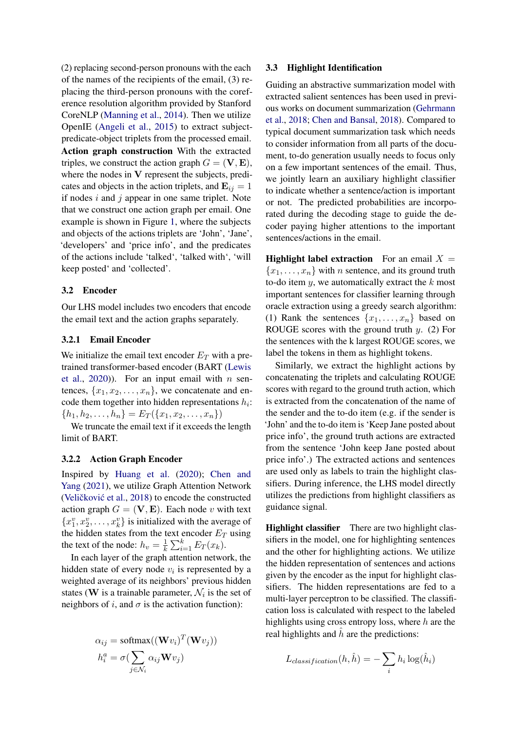(2) replacing second-person pronouns with the each of the names of the recipients of the email, (3) replacing the third-person pronouns with the coreference resolution algorithm provided by Stanford CoreNLP [\(Manning et al.,](#page-9-17) [2014\)](#page-9-17). Then we utilize OpenIE [\(Angeli et al.,](#page-8-11) [2015\)](#page-8-11) to extract subjectpredicate-object triplets from the processed email. Action graph construction With the extracted triples, we construct the action graph  $G = (\mathbf{V}, \mathbf{E}),$ where the nodes in V represent the subjects, predicates and objects in the action triplets, and  $\mathbf{E}_{ij} = 1$ if nodes  $i$  and  $j$  appear in one same triplet. Note that we construct one action graph per email. One example is shown in Figure [1,](#page-1-0) where the subjects and objects of the actions triplets are 'John', 'Jane', 'developers' and 'price info', and the predicates of the actions include 'talked', 'talked with', 'will keep posted' and 'collected'.

## <span id="page-3-0"></span>3.2 Encoder

Our LHS model includes two encoders that encode the email text and the action graphs separately.

## 3.2.1 Email Encoder

We initialize the email text encoder  $E_T$  with a pretrained transformer-based encoder (BART [\(Lewis](#page-9-8) [et al.,](#page-9-8)  $2020$ )). For an input email with *n* sentences,  $\{x_1, x_2, \ldots, x_n\}$ , we concatenate and encode them together into hidden representations  $h_i$ :  ${h_1, h_2, \ldots, h_n} = E_T({x_1, x_2, \ldots, x_n})$ 

We truncate the email text if it exceeds the length limit of BART.

## 3.2.2 Action Graph Encoder

Inspired by [Huang et al.](#page-9-7) [\(2020\)](#page-9-7); [Chen and](#page-8-0) [Yang](#page-8-0) [\(2021\)](#page-8-0), we utilize Graph Attention Network (Veličković et al., [2018\)](#page-10-19) to encode the constructed action graph  $G = (\mathbf{V}, \mathbf{E})$ . Each node v with text  ${x_1^v, x_2^v, \ldots, x_k^v}$  is initialized with the average of the hidden states from the text encoder  $E_T$  using the text of the node:  $h_v = \frac{1}{k}$  $\frac{1}{k} \sum_{i=1}^{k} E_T(x_k)$ .

In each layer of the graph attention network, the hidden state of every node  $v_i$  is represented by a weighted average of its neighbors' previous hidden states (W is a trainable parameter,  $\mathcal{N}_i$  is the set of neighbors of i, and  $\sigma$  is the activation function):

$$
\alpha_{ij} = \text{softmax}((\mathbf{W}v_i)^T(\mathbf{W}v_j))
$$

$$
h_i^a = \sigma(\sum_{j \in \mathcal{N}_i} \alpha_{ij} \mathbf{W}v_j)
$$

#### 3.3 Highlight Identification

Guiding an abstractive summarization model with extracted salient sentences has been used in previous works on document summarization [\(Gehrmann](#page-8-2) [et al.,](#page-8-2) [2018;](#page-8-2) [Chen and Bansal,](#page-8-3) [2018\)](#page-8-3). Compared to typical document summarization task which needs to consider information from all parts of the document, to-do generation usually needs to focus only on a few important sentences of the email. Thus, we jointly learn an auxiliary highlight classifier to indicate whether a sentence/action is important or not. The predicted probabilities are incorporated during the decoding stage to guide the decoder paying higher attentions to the important sentences/actions in the email.

<span id="page-3-2"></span>**Highlight label extraction** For an email  $X =$  ${x_1, \ldots, x_n}$  with *n* sentence, and its ground truth to-do item  $y$ , we automatically extract the  $k$  most important sentences for classifier learning through oracle extraction using a greedy search algorithm: (1) Rank the sentences  $\{x_1, \ldots, x_n\}$  based on ROUGE scores with the ground truth  $y$ . (2) For the sentences with the k largest ROUGE scores, we label the tokens in them as highlight tokens.

Similarly, we extract the highlight actions by concatenating the triplets and calculating ROUGE scores with regard to the ground truth action, which is extracted from the concatenation of the name of the sender and the to-do item (e.g. if the sender is 'John' and the to-do item is 'Keep Jane posted about price info', the ground truth actions are extracted from the sentence 'John keep Jane posted about price info'.) The extracted actions and sentences are used only as labels to train the highlight classifiers. During inference, the LHS model directly utilizes the predictions from highlight classifiers as guidance signal.

<span id="page-3-1"></span>Highlight classifier There are two highlight classifiers in the model, one for highlighting sentences and the other for highlighting actions. We utilize the hidden representation of sentences and actions given by the encoder as the input for highlight classifiers. The hidden representations are fed to a multi-layer perceptron to be classified. The classification loss is calculated with respect to the labeled highlights using cross entropy loss, where  $h$  are the real highlights and  $\hat{h}$  are the predictions:

$$
L_{classification}(h, \hat{h}) = -\sum_{i} h_i \log(\hat{h}_i)
$$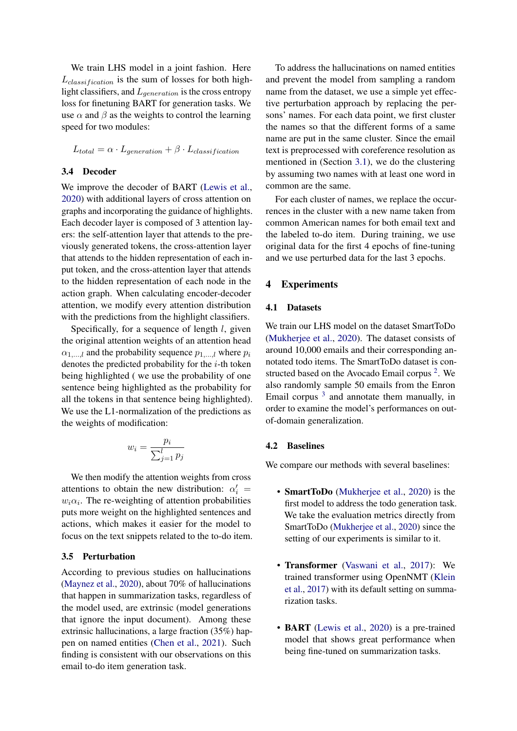We train LHS model in a joint fashion. Here  $L_{classification}$  is the sum of losses for both highlight classifiers, and  $L_{generation}$  is the cross entropy loss for finetuning BART for generation tasks. We use  $\alpha$  and  $\beta$  as the weights to control the learning speed for two modules:

$$
L_{total} = \alpha \cdot L_{generation} + \beta \cdot L_{classification}
$$

#### <span id="page-4-0"></span>3.4 Decoder

We improve the decoder of BART [\(Lewis et al.,](#page-9-8) [2020\)](#page-9-8) with additional layers of cross attention on graphs and incorporating the guidance of highlights. Each decoder layer is composed of 3 attention layers: the self-attention layer that attends to the previously generated tokens, the cross-attention layer that attends to the hidden representation of each input token, and the cross-attention layer that attends to the hidden representation of each node in the action graph. When calculating encoder-decoder attention, we modify every attention distribution with the predictions from the highlight classifiers.

Specifically, for a sequence of length  $l$ , given the original attention weights of an attention head  $\alpha_{1,\dots,l}$  and the probability sequence  $p_{1,\dots,l}$  where  $p_i$ denotes the predicted probability for the  $i$ -th token being highlighted ( we use the probability of one sentence being highlighted as the probability for all the tokens in that sentence being highlighted). We use the L1-normalization of the predictions as the weights of modification:

$$
w_i = \frac{p_i}{\sum_{j=1}^l p_j}
$$

We then modify the attention weights from cross attentions to obtain the new distribution:  $\alpha'_i$  $w_i \alpha_i$ . The re-weighting of attention probabilities puts more weight on the highlighted sentences and actions, which makes it easier for the model to focus on the text snippets related to the to-do item.

#### 3.5 Perturbation

According to previous studies on hallucinations [\(Maynez et al.,](#page-9-4) [2020\)](#page-9-4), about 70% of hallucinations that happen in summarization tasks, regardless of the model used, are extrinsic (model generations that ignore the input document). Among these extrinsic hallucinations, a large fraction (35%) happen on named entities [\(Chen et al.,](#page-8-1) [2021\)](#page-8-1). Such finding is consistent with our observations on this email to-do item generation task.

To address the hallucinations on named entities and prevent the model from sampling a random name from the dataset, we use a simple yet effective perturbation approach by replacing the persons' names. For each data point, we first cluster the names so that the different forms of a same name are put in the same cluster. Since the email text is preprocessed with coreference resolution as mentioned in (Section [3.1\)](#page-2-2), we do the clustering by assuming two names with at least one word in common are the same.

For each cluster of names, we replace the occurrences in the cluster with a new name taken from common American names for both email text and the labeled to-do item. During training, we use original data for the first 4 epochs of fine-tuning and we use perturbed data for the last 3 epochs.

## 4 Experiments

#### 4.1 Datasets

We train our LHS model on the dataset SmartToDo [\(Mukherjee et al.,](#page-9-0) [2020\)](#page-9-0). The dataset consists of around 10,000 emails and their corresponding annotated todo items. The SmartToDo dataset is constructed based on the Avocado Email corpus  $2$ . We also randomly sample 50 emails from the Enron Email corpus  $3$  and annotate them manually, in order to examine the model's performances on outof-domain generalization.

#### 4.2 Baselines

We compare our methods with several baselines:

- SmartToDo [\(Mukherjee et al.,](#page-9-0) [2020\)](#page-9-0) is the first model to address the todo generation task. We take the evaluation metrics directly from SmartToDo [\(Mukherjee et al.,](#page-9-0) [2020\)](#page-9-0) since the setting of our experiments is similar to it.
- Transformer [\(Vaswani et al.,](#page-10-20) [2017\)](#page-10-20): We trained transformer using OpenNMT [\(Klein](#page-9-18) [et al.,](#page-9-18) [2017\)](#page-9-18) with its default setting on summarization tasks.
- **BART** [\(Lewis et al.,](#page-9-8) [2020\)](#page-9-8) is a pre-trained model that shows great performance when being fine-tuned on summarization tasks.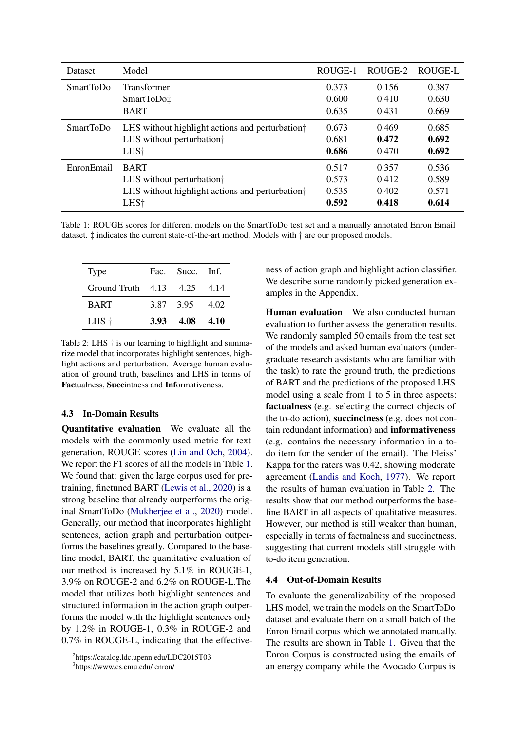<span id="page-5-2"></span>

| Dataset          | Model                                                       | ROUGE-1 | ROUGE-2 | ROUGE-L |
|------------------|-------------------------------------------------------------|---------|---------|---------|
| <b>SmartToDo</b> | Transformer                                                 | 0.373   | 0.156   | 0.387   |
|                  | SmartToDo‡                                                  | 0.600   | 0.410   | 0.630   |
|                  | <b>BART</b>                                                 | 0.635   | 0.431   | 0.669   |
| <b>SmartToDo</b> | LHS without highlight actions and perturbation <sup>†</sup> |         | 0.469   | 0.685   |
|                  | LHS without perturbation <sup>†</sup>                       | 0.681   | 0.472   | 0.692   |
|                  | LHS <sup>+</sup>                                            | 0.686   | 0.470   | 0.692   |
| EnronEmail       | <b>BART</b>                                                 | 0.517   | 0.357   | 0.536   |
|                  | LHS without perturbation <sup>†</sup>                       | 0.573   | 0.412   | 0.589   |
|                  | LHS without highlight actions and perturbation <sup>†</sup> | 0.535   | 0.402   | 0.571   |
|                  | LHS <sup>+</sup>                                            | 0.592   | 0.418   | 0.614   |

Table 1: ROUGE scores for different models on the SmartToDo test set and a manually annotated Enron Email dataset. ‡ indicates the current state-of-the-art method. Models with † are our proposed models.

<span id="page-5-3"></span>

| <b>Type</b>                 |      | Fac. Succ. Inf. |      |
|-----------------------------|------|-----------------|------|
| Ground Truth 4.13 4.25 4.14 |      |                 |      |
| <b>BART</b>                 |      | 3.87 3.95       | 4.02 |
| $L$ HS $\dagger$            | 3.93 | 4.08            | 4.10 |

Table 2: LHS  $\dagger$  is our learning to highlight and summarize model that incorporates highlight sentences, highlight actions and perturbation. Average human evaluation of ground truth, baselines and LHS in terms of Factualness, Succintness and Informativeness.

### 4.3 In-Domain Results

Quantitative evaluation We evaluate all the models with the commonly used metric for text generation, ROUGE scores [\(Lin and Och,](#page-9-19) [2004\)](#page-9-19). We report the F1 scores of all the models in Table [1.](#page-5-2) We found that: given the large corpus used for pretraining, finetuned BART [\(Lewis et al.,](#page-9-8) [2020\)](#page-9-8) is a strong baseline that already outperforms the original SmartToDo [\(Mukherjee et al.,](#page-9-0) [2020\)](#page-9-0) model. Generally, our method that incorporates highlight sentences, action graph and perturbation outperforms the baselines greatly. Compared to the baseline model, BART, the quantitative evaluation of our method is increased by 5.1% in ROUGE-1, 3.9% on ROUGE-2 and 6.2% on ROUGE-L.The model that utilizes both highlight sentences and structured information in the action graph outperforms the model with the highlight sentences only by 1.2% in ROUGE-1, 0.3% in ROUGE-2 and 0.7% in ROUGE-L, indicating that the effectiveness of action graph and highlight action classifier. We describe some randomly picked generation examples in the Appendix.

Human evaluation We also conducted human evaluation to further assess the generation results. We randomly sampled 50 emails from the test set of the models and asked human evaluators (undergraduate research assistants who are familiar with the task) to rate the ground truth, the predictions of BART and the predictions of the proposed LHS model using a scale from 1 to 5 in three aspects: factualness (e.g. selecting the correct objects of the to-do action), succinctness (e.g. does not contain redundant information) and informativeness (e.g. contains the necessary information in a todo item for the sender of the email). The Fleiss' Kappa for the raters was 0.42, showing moderate agreement [\(Landis and Koch,](#page-9-20) [1977\)](#page-9-20). We report the results of human evaluation in Table [2.](#page-5-3) The results show that our method outperforms the baseline BART in all aspects of qualitative measures. However, our method is still weaker than human, especially in terms of factualness and succinctness, suggesting that current models still struggle with to-do item generation.

#### 4.4 Out-of-Domain Results

To evaluate the generalizability of the proposed LHS model, we train the models on the SmartToDo dataset and evaluate them on a small batch of the Enron Email corpus which we annotated manually. The results are shown in Table [1.](#page-5-2) Given that the Enron Corpus is constructed using the emails of an energy company while the Avocado Corpus is

<span id="page-5-0"></span><sup>2</sup> https://catalog.ldc.upenn.edu/LDC2015T03

<span id="page-5-1"></span><sup>3</sup> https://www.cs.cmu.edu/ enron/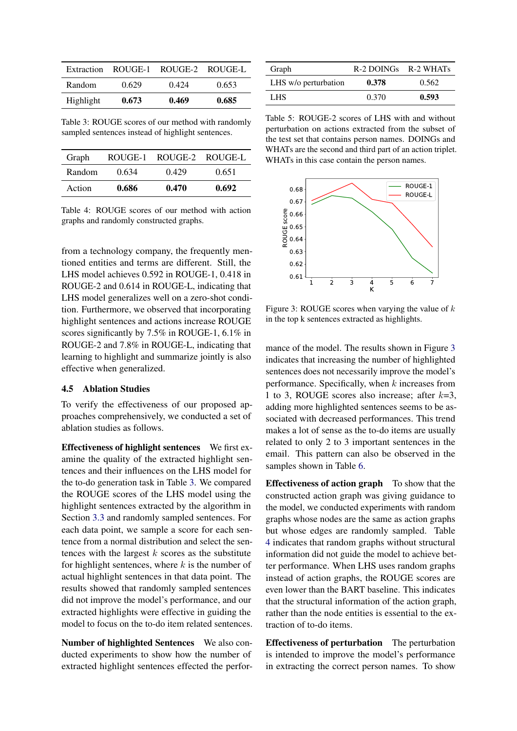<span id="page-6-0"></span>

| Extraction | ROUGE-1 |       | ROUGE-2 ROUGE-L |
|------------|---------|-------|-----------------|
| Random     | 0.629   | 0.424 | 0.653           |
| Highlight  | 0.673   | 0.469 | 0.685           |

Table 3: ROUGE scores of our method with randomly sampled sentences instead of highlight sentences.

<span id="page-6-2"></span>

| Graph  | ROUGE-1 | ROUGE-2 ROUGE-L |       |
|--------|---------|-----------------|-------|
| Random | 0.634   | 0.429           | 0.651 |
| Action | 0.686   | 0.470           | 0.692 |

Table 4: ROUGE scores of our method with action graphs and randomly constructed graphs.

from a technology company, the frequently mentioned entities and terms are different. Still, the LHS model achieves 0.592 in ROUGE-1, 0.418 in ROUGE-2 and 0.614 in ROUGE-L, indicating that LHS model generalizes well on a zero-shot condition. Furthermore, we observed that incorporating highlight sentences and actions increase ROUGE scores significantly by 7.5% in ROUGE-1, 6.1% in ROUGE-2 and 7.8% in ROUGE-L, indicating that learning to highlight and summarize jointly is also effective when generalized.

## 4.5 Ablation Studies

To verify the effectiveness of our proposed approaches comprehensively, we conducted a set of ablation studies as follows.

Effectiveness of highlight sentences We first examine the quality of the extracted highlight sentences and their influences on the LHS model for the to-do generation task in Table [3.](#page-6-0) We compared the ROUGE scores of the LHS model using the highlight sentences extracted by the algorithm in Section [3.3](#page-3-2) and randomly sampled sentences. For each data point, we sample a score for each sentence from a normal distribution and select the sentences with the largest  $k$  scores as the substitute for highlight sentences, where  $k$  is the number of actual highlight sentences in that data point. The results showed that randomly sampled sentences did not improve the model's performance, and our extracted highlights were effective in guiding the model to focus on the to-do item related sentences.

Number of highlighted Sentences We also conducted experiments to show how the number of extracted highlight sentences effected the perfor-

<span id="page-6-3"></span>

| Graph                | $R-2$ DOINGs $R-2$ WHATs |       |
|----------------------|--------------------------|-------|
| LHS w/o perturbation | 0.378                    | 0.562 |
| LHS.                 | 0.370                    | 0.593 |

Table 5: ROUGE-2 scores of LHS with and without perturbation on actions extracted from the subset of the test set that contains person names. DOINGs and WHATs are the second and third part of an action triplet. WHATs in this case contain the person names.

<span id="page-6-1"></span>

Figure 3: ROUGE scores when varying the value of  $k$ in the top k sentences extracted as highlights.

mance of the model. The results shown in Figure [3](#page-6-1) indicates that increasing the number of highlighted sentences does not necessarily improve the model's performance. Specifically, when  $k$  increases from 1 to 3, ROUGE scores also increase; after  $k=3$ , adding more highlighted sentences seems to be associated with decreased performances. This trend makes a lot of sense as the to-do items are usually related to only 2 to 3 important sentences in the email. This pattern can also be observed in the samples shown in Table [6.](#page-7-0)

Effectiveness of action graph To show that the constructed action graph was giving guidance to the model, we conducted experiments with random graphs whose nodes are the same as action graphs but whose edges are randomly sampled. Table [4](#page-6-2) indicates that random graphs without structural information did not guide the model to achieve better performance. When LHS uses random graphs instead of action graphs, the ROUGE scores are even lower than the BART baseline. This indicates that the structural information of the action graph, rather than the node entities is essential to the extraction of to-do items.

Effectiveness of perturbation The perturbation is intended to improve the model's performance in extracting the correct person names. To show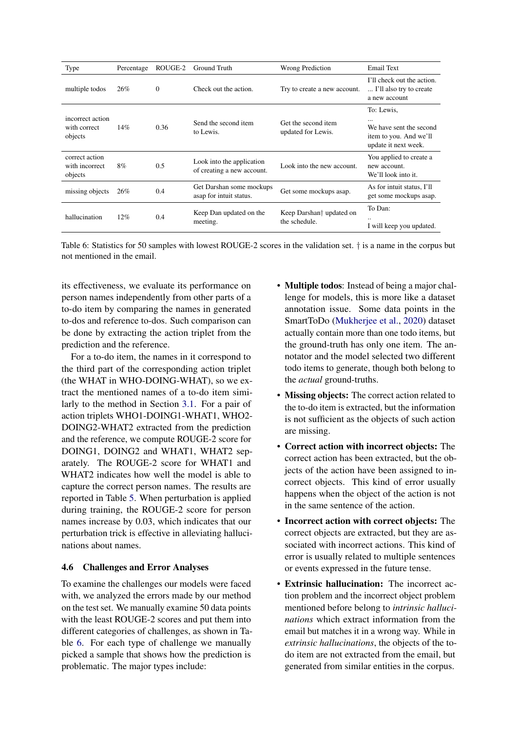<span id="page-7-0"></span>

| Type                                        | Percentage | ROUGE-2  | Ground Truth                                            | Wrong Prediction                                      | Email Text                                                                                          |
|---------------------------------------------|------------|----------|---------------------------------------------------------|-------------------------------------------------------|-----------------------------------------------------------------------------------------------------|
| multiple todos                              | 26%        | $\Omega$ | Check out the action.                                   | Try to create a new account.                          | I'll check out the action.<br>I'll also try to create<br>a new account                              |
| incorrect action<br>with correct<br>objects | 14%        | 0.36     | Send the second item<br>to Lewis.                       | Get the second item<br>updated for Lewis.             | To: Lewis,<br>$\cdots$<br>We have sent the second<br>item to you. And we'll<br>update it next week. |
| correct action<br>with incorrect<br>objects | 8%         | 0.5      | Look into the application<br>of creating a new account. | Look into the new account.                            | You applied to create a<br>new account.<br>We'll look into it.                                      |
| missing objects                             | 26%        | 0.4      | Get Darshan some mockups<br>asap for intuit status.     | Get some mockups asap.                                | As for intuit status, I'll<br>get some mockups asap.                                                |
| hallucination                               | 12%        | 0.4      | Keep Dan updated on the<br>meeting.                     | Keep Darshan <sup>†</sup> updated on<br>the schedule. | To Dan:<br><br>I will keep you updated.                                                             |

Table 6: Statistics for 50 samples with lowest ROUGE-2 scores in the validation set. † is a name in the corpus but not mentioned in the email.

its effectiveness, we evaluate its performance on person names independently from other parts of a to-do item by comparing the names in generated to-dos and reference to-dos. Such comparison can be done by extracting the action triplet from the prediction and the reference.

For a to-do item, the names in it correspond to the third part of the corresponding action triplet (the WHAT in WHO-DOING-WHAT), so we extract the mentioned names of a to-do item similarly to the method in Section [3.1.](#page-2-2) For a pair of action triplets WHO1-DOING1-WHAT1, WHO2- DOING2-WHAT2 extracted from the prediction and the reference, we compute ROUGE-2 score for DOING1, DOING2 and WHAT1, WHAT2 separately. The ROUGE-2 score for WHAT1 and WHAT2 indicates how well the model is able to capture the correct person names. The results are reported in Table [5.](#page-6-3) When perturbation is applied during training, the ROUGE-2 score for person names increase by 0.03, which indicates that our perturbation trick is effective in alleviating hallucinations about names.

## 4.6 Challenges and Error Analyses

To examine the challenges our models were faced with, we analyzed the errors made by our method on the test set. We manually examine 50 data points with the least ROUGE-2 scores and put them into different categories of challenges, as shown in Table [6.](#page-7-0) For each type of challenge we manually picked a sample that shows how the prediction is problematic. The major types include:

- Multiple todos: Instead of being a major challenge for models, this is more like a dataset annotation issue. Some data points in the SmartToDo [\(Mukherjee et al.,](#page-9-0) [2020\)](#page-9-0) dataset actually contain more than one todo items, but the ground-truth has only one item. The annotator and the model selected two different todo items to generate, though both belong to the *actual* ground-truths.
- Missing objects: The correct action related to the to-do item is extracted, but the information is not sufficient as the objects of such action are missing.
- Correct action with incorrect objects: The correct action has been extracted, but the objects of the action have been assigned to incorrect objects. This kind of error usually happens when the object of the action is not in the same sentence of the action.
- Incorrect action with correct objects: The correct objects are extracted, but they are associated with incorrect actions. This kind of error is usually related to multiple sentences or events expressed in the future tense.
- Extrinsic hallucination: The incorrect action problem and the incorrect object problem mentioned before belong to *intrinsic hallucinations* which extract information from the email but matches it in a wrong way. While in *extrinsic hallucinations*, the objects of the todo item are not extracted from the email, but generated from similar entities in the corpus.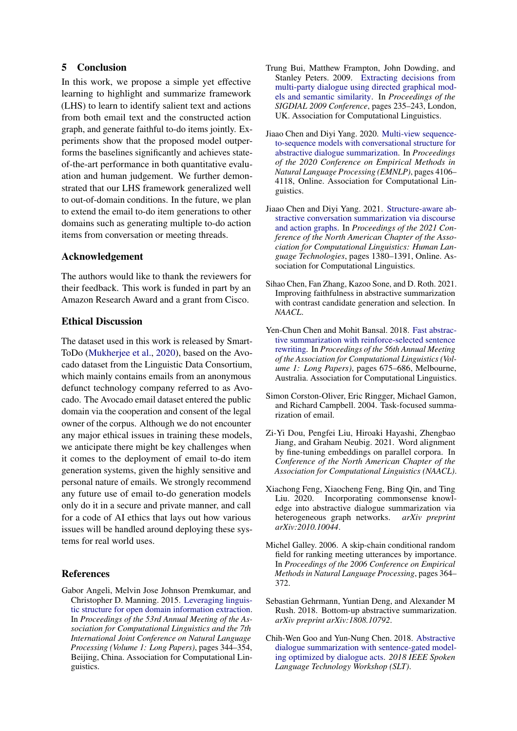## 5 Conclusion

In this work, we propose a simple yet effective learning to highlight and summarize framework (LHS) to learn to identify salient text and actions from both email text and the constructed action graph, and generate faithful to-do items jointly. Experiments show that the proposed model outperforms the baselines significantly and achieves stateof-the-art performance in both quantitative evaluation and human judgement. We further demonstrated that our LHS framework generalized well to out-of-domain conditions. In the future, we plan to extend the email to-do item generations to other domains such as generating multiple to-do action items from conversation or meeting threads.

## Acknowledgement

The authors would like to thank the reviewers for their feedback. This work is funded in part by an Amazon Research Award and a grant from Cisco.

## Ethical Discussion

The dataset used in this work is released by Smart-ToDo [\(Mukherjee et al.,](#page-9-0) [2020\)](#page-9-0), based on the Avocado dataset from the Linguistic Data Consortium, which mainly contains emails from an anonymous defunct technology company referred to as Avocado. The Avocado email dataset entered the public domain via the cooperation and consent of the legal owner of the corpus. Although we do not encounter any major ethical issues in training these models, we anticipate there might be key challenges when it comes to the deployment of email to-do item generation systems, given the highly sensitive and personal nature of emails. We strongly recommend any future use of email to-do generation models only do it in a secure and private manner, and call for a code of AI ethics that lays out how various issues will be handled around deploying these systems for real world uses.

## References

<span id="page-8-11"></span>Gabor Angeli, Melvin Jose Johnson Premkumar, and Christopher D. Manning. 2015. [Leveraging linguis](https://doi.org/10.3115/v1/P15-1034)[tic structure for open domain information extraction.](https://doi.org/10.3115/v1/P15-1034) In *Proceedings of the 53rd Annual Meeting of the Association for Computational Linguistics and the 7th International Joint Conference on Natural Language Processing (Volume 1: Long Papers)*, pages 344–354, Beijing, China. Association for Computational Linguistics.

- <span id="page-8-9"></span>Trung Bui, Matthew Frampton, John Dowding, and Stanley Peters. 2009. [Extracting decisions from](https://www.aclweb.org/anthology/W09-3934) [multi-party dialogue using directed graphical mod](https://www.aclweb.org/anthology/W09-3934)[els and semantic similarity.](https://www.aclweb.org/anthology/W09-3934) In *Proceedings of the SIGDIAL 2009 Conference*, pages 235–243, London, UK. Association for Computational Linguistics.
- <span id="page-8-8"></span>Jiaao Chen and Diyi Yang. 2020. [Multi-view sequence](https://www.aclweb.org/anthology/2020.emnlp-main.336)[to-sequence models with conversational structure for](https://www.aclweb.org/anthology/2020.emnlp-main.336) [abstractive dialogue summarization.](https://www.aclweb.org/anthology/2020.emnlp-main.336) In *Proceedings of the 2020 Conference on Empirical Methods in Natural Language Processing (EMNLP)*, pages 4106– 4118, Online. Association for Computational Linguistics.
- <span id="page-8-0"></span>Jiaao Chen and Diyi Yang. 2021. [Structure-aware ab](https://doi.org/10.18653/v1/2021.naacl-main.109)[stractive conversation summarization via discourse](https://doi.org/10.18653/v1/2021.naacl-main.109) [and action graphs.](https://doi.org/10.18653/v1/2021.naacl-main.109) In *Proceedings of the 2021 Conference of the North American Chapter of the Association for Computational Linguistics: Human Language Technologies*, pages 1380–1391, Online. Association for Computational Linguistics.
- <span id="page-8-1"></span>Sihao Chen, Fan Zhang, Kazoo Sone, and D. Roth. 2021. Improving faithfulness in abstractive summarization with contrast candidate generation and selection. In *NAACL*.
- <span id="page-8-3"></span>Yen-Chun Chen and Mohit Bansal. 2018. [Fast abstrac](https://doi.org/10.18653/v1/P18-1063)[tive summarization with reinforce-selected sentence](https://doi.org/10.18653/v1/P18-1063) [rewriting.](https://doi.org/10.18653/v1/P18-1063) In *Proceedings of the 56th Annual Meeting of the Association for Computational Linguistics (Volume 1: Long Papers)*, pages 675–686, Melbourne, Australia. Association for Computational Linguistics.
- <span id="page-8-10"></span>Simon Corston-Oliver, Eric Ringger, Michael Gamon, and Richard Campbell. 2004. Task-focused summarization of email.
- <span id="page-8-4"></span>Zi-Yi Dou, Pengfei Liu, Hiroaki Hayashi, Zhengbao Jiang, and Graham Neubig. 2021. Word alignment by fine-tuning embeddings on parallel corpora. In *Conference of the North American Chapter of the Association for Computational Linguistics (NAACL)*.
- <span id="page-8-6"></span>Xiachong Feng, Xiaocheng Feng, Bing Qin, and Ting Liu. 2020. Incorporating commonsense knowledge into abstractive dialogue summarization via heterogeneous graph networks. *arXiv preprint arXiv:2010.10044*.
- <span id="page-8-5"></span>Michel Galley. 2006. A skip-chain conditional random field for ranking meeting utterances by importance. In *Proceedings of the 2006 Conference on Empirical Methods in Natural Language Processing*, pages 364– 372.
- <span id="page-8-2"></span>Sebastian Gehrmann, Yuntian Deng, and Alexander M Rush. 2018. Bottom-up abstractive summarization. *arXiv preprint arXiv:1808.10792*.
- <span id="page-8-7"></span>Chih-Wen Goo and Yun-Nung Chen. 2018. [Abstractive](https://doi.org/10.1109/slt.2018.8639531) [dialogue summarization with sentence-gated model](https://doi.org/10.1109/slt.2018.8639531)[ing optimized by dialogue acts.](https://doi.org/10.1109/slt.2018.8639531) *2018 IEEE Spoken Language Technology Workshop (SLT)*.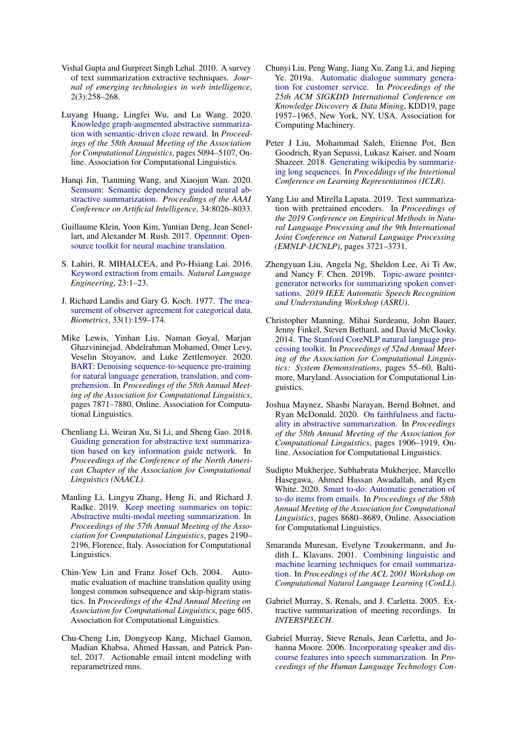- <span id="page-9-5"></span>Vishal Gupta and Gurpreet Singh Lehal. 2010. A survey of text summarization extractive techniques. *Journal of emerging technologies in web intelligence*, 2(3):258–268.
- <span id="page-9-7"></span>Luyang Huang, Lingfei Wu, and Lu Wang. 2020. [Knowledge graph-augmented abstractive summariza](https://doi.org/10.18653/v1/2020.acl-main.457)[tion with semantic-driven cloze reward.](https://doi.org/10.18653/v1/2020.acl-main.457) In *Proceedings of the 58th Annual Meeting of the Association for Computational Linguistics*, pages 5094–5107, Online. Association for Computational Linguistics.
- <span id="page-9-11"></span>Hanqi Jin, Tianming Wang, and Xiaojun Wan. 2020. [Semsum: Semantic dependency guided neural ab](https://doi.org/10.1609/aaai.v34i05.6312)[stractive summarization.](https://doi.org/10.1609/aaai.v34i05.6312) *Proceedings of the AAAI Conference on Artificial Intelligence*, 34:8026–8033.
- <span id="page-9-18"></span>Guillaume Klein, Yoon Kim, Yuntian Deng, Jean Senellart, and Alexander M. Rush. 2017. [Opennmt: Open](http://arxiv.org/abs/1701.02810)[source toolkit for neural machine translation.](http://arxiv.org/abs/1701.02810)
- <span id="page-9-2"></span>S. Lahiri, R. MIHALCEA, and Po-Hsiang Lai. 2016. [Keyword extraction from emails.](https://doi.org/10.1017/S1351324916000231) *Natural Language Engineering*, 23:1–23.
- <span id="page-9-20"></span>J. Richard Landis and Gary G. Koch. 1977. [The mea](http://www.jstor.org/stable/2529310)[surement of observer agreement for categorical data.](http://www.jstor.org/stable/2529310) *Biometrics*, 33(1):159–174.
- <span id="page-9-8"></span>Mike Lewis, Yinhan Liu, Naman Goyal, Marjan Ghazvininejad, Abdelrahman Mohamed, Omer Levy, Veselin Stoyanov, and Luke Zettlemoyer. 2020. [BART: Denoising sequence-to-sequence pre-training](https://doi.org/10.18653/v1/2020.acl-main.703) [for natural language generation, translation, and com](https://doi.org/10.18653/v1/2020.acl-main.703)[prehension.](https://doi.org/10.18653/v1/2020.acl-main.703) In *Proceedings of the 58th Annual Meeting of the Association for Computational Linguistics*, pages 7871–7880, Online. Association for Computational Linguistics.
- <span id="page-9-9"></span>Chenliang Li, Weiran Xu, Si Li, and Sheng Gao. 2018. [Guiding generation for abstractive text summariza](https://www.aclweb.org/anthology/N18-2009.pdf)[tion based on key information guide network.](https://www.aclweb.org/anthology/N18-2009.pdf) In *Proceedings of the Conference of the North American Chapter of the Association for Computational Linguistics (NAACL)*.
- <span id="page-9-15"></span>Manling Li, Lingyu Zhang, Heng Ji, and Richard J. Radke. 2019. [Keep meeting summaries on topic:](https://doi.org/10.18653/v1/P19-1210) [Abstractive multi-modal meeting summarization.](https://doi.org/10.18653/v1/P19-1210) In *Proceedings of the 57th Annual Meeting of the Association for Computational Linguistics*, pages 2190– 2196, Florence, Italy. Association for Computational Linguistics.
- <span id="page-9-19"></span>Chin-Yew Lin and Franz Josef Och. 2004. Automatic evaluation of machine translation quality using longest common subsequence and skip-bigram statistics. In *Proceedings of the 42nd Annual Meeting on Association for Computational Linguistics*, page 605. Association for Computational Linguistics.
- <span id="page-9-3"></span>Chu-Cheng Lin, Dongyeop Kang, Michael Gamon, Madian Khabsa, Ahmed Hassan, and Patrick Pantel. 2017. Actionable email intent modeling with reparametrized rnns.
- <span id="page-9-13"></span>Chunyi Liu, Peng Wang, Jiang Xu, Zang Li, and Jieping Ye. 2019a. [Automatic dialogue summary genera](https://doi.org/10.1145/3292500.3330683)[tion for customer service.](https://doi.org/10.1145/3292500.3330683) In *Proceedings of the 25th ACM SIGKDD International Conference on Knowledge Discovery & Data Mining*, KDD19, page 1957–1965, New York, NY, USA. Association for Computing Machinery.
- <span id="page-9-10"></span>Peter J Liu, Mohammad Saleh, Etienne Pot, Ben Goodrich, Ryan Sepassi, Lukasz Kaiser, and Noam Shazeer. 2018. [Generating wikipedia by summariz](https://openreview.net/pdf?id=Hyg0vbWC-)[ing long sequences.](https://openreview.net/pdf?id=Hyg0vbWC-) In *Proceddings of the Intertional Conference on Learning Representatinos (ICLR)*.
- <span id="page-9-6"></span>Yang Liu and Mirella Lapata. 2019. Text summarization with pretrained encoders. In *Proceedings of the 2019 Conference on Empirical Methods in Natural Language Processing and the 9th International Joint Conference on Natural Language Processing (EMNLP-IJCNLP)*, pages 3721–3731.
- <span id="page-9-14"></span>Zhengyuan Liu, Angela Ng, Sheldon Lee, Ai Ti Aw, and Nancy F. Chen. 2019b. [Topic-aware pointer](https://doi.org/10.1109/asru46091.2019.9003764)[generator networks for summarizing spoken conver](https://doi.org/10.1109/asru46091.2019.9003764)[sations.](https://doi.org/10.1109/asru46091.2019.9003764) *2019 IEEE Automatic Speech Recognition and Understanding Workshop (ASRU)*.
- <span id="page-9-17"></span>Christopher Manning, Mihai Surdeanu, John Bauer, Jenny Finkel, Steven Bethard, and David McClosky. 2014. [The Stanford CoreNLP natural language pro](https://doi.org/10.3115/v1/P14-5010)[cessing toolkit.](https://doi.org/10.3115/v1/P14-5010) In *Proceedings of 52nd Annual Meeting of the Association for Computational Linguistics: System Demonstrations*, pages 55–60, Baltimore, Maryland. Association for Computational Linguistics.
- <span id="page-9-4"></span>Joshua Maynez, Shashi Narayan, Bernd Bohnet, and Ryan McDonald. 2020. [On faithfulness and factu](https://doi.org/10.18653/v1/2020.acl-main.173)[ality in abstractive summarization.](https://doi.org/10.18653/v1/2020.acl-main.173) In *Proceedings of the 58th Annual Meeting of the Association for Computational Linguistics*, pages 1906–1919, Online. Association for Computational Linguistics.
- <span id="page-9-0"></span>Sudipto Mukherjee, Subhabrata Mukherjee, Marcello Hasegawa, Ahmed Hassan Awadallah, and Ryen White. 2020. [Smart to-do: Automatic generation of](https://doi.org/10.18653/v1/2020.acl-main.767) [to-do items from emails.](https://doi.org/10.18653/v1/2020.acl-main.767) In *Proceedings of the 58th Annual Meeting of the Association for Computational Linguistics*, pages 8680–8689, Online. Association for Computational Linguistics.
- <span id="page-9-1"></span>Smaranda Muresan, Evelyne Tzoukermann, and Judith L. Klavans. 2001. [Combining linguistic and](https://www.aclweb.org/anthology/W01-0719) [machine learning techniques for email summariza](https://www.aclweb.org/anthology/W01-0719)[tion.](https://www.aclweb.org/anthology/W01-0719) In *Proceedings of the ACL 2001 Workshop on Computational Natural Language Learning (ConLL)*.
- <span id="page-9-12"></span>Gabriel Murray, S. Renals, and J. Carletta. 2005. Extractive summarization of meeting recordings. In *INTERSPEECH*.
- <span id="page-9-16"></span>Gabriel Murray, Steve Renals, Jean Carletta, and Johanna Moore. 2006. [Incorporating speaker and dis](https://www.aclweb.org/anthology/N06-1047)[course features into speech summarization.](https://www.aclweb.org/anthology/N06-1047) In *Proceedings of the Human Language Technology Con-*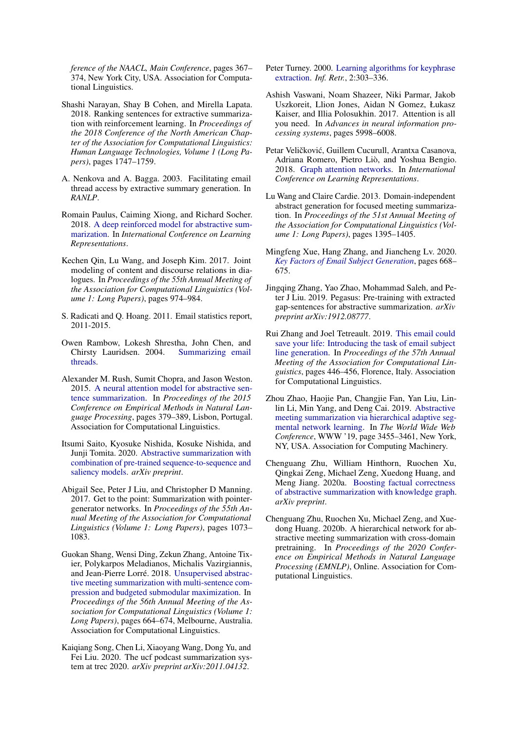*ference of the NAACL, Main Conference*, pages 367– 374, New York City, USA. Association for Computational Linguistics.

- <span id="page-10-6"></span>Shashi Narayan, Shay B Cohen, and Mirella Lapata. 2018. Ranking sentences for extractive summarization with reinforcement learning. In *Proceedings of the 2018 Conference of the North American Chapter of the Association for Computational Linguistics: Human Language Technologies, Volume 1 (Long Papers)*, pages 1747–1759.
- <span id="page-10-1"></span>A. Nenkova and A. Bagga. 2003. Facilitating email thread access by extractive summary generation. In *RANLP*.
- <span id="page-10-9"></span>Romain Paulus, Caiming Xiong, and Richard Socher. 2018. [A deep reinforced model for abstractive sum](https://openreview.net/forum?id=HkAClQgA-)[marization.](https://openreview.net/forum?id=HkAClQgA-) In *International Conference on Learning Representations*.
- <span id="page-10-18"></span>Kechen Qin, Lu Wang, and Joseph Kim. 2017. Joint modeling of content and discourse relations in dialogues. In *Proceedings of the 55th Annual Meeting of the Association for Computational Linguistics (Volume 1: Long Papers)*, pages 974–984.
- <span id="page-10-0"></span>S. Radicati and Q. Hoang. 2011. Email statistics report, 2011-2015.
- <span id="page-10-2"></span>Owen Rambow, Lokesh Shrestha, John Chen, and Chirsty Lauridsen. 2004. [Summarizing email](https://doi.org/10.3115/1613984.1614011) [threads.](https://doi.org/10.3115/1613984.1614011)
- <span id="page-10-7"></span>Alexander M. Rush, Sumit Chopra, and Jason Weston. 2015. [A neural attention model for abstractive sen](https://doi.org/10.18653/v1/D15-1044)[tence summarization.](https://doi.org/10.18653/v1/D15-1044) In *Proceedings of the 2015 Conference on Empirical Methods in Natural Language Processing*, pages 379–389, Lisbon, Portugal. Association for Computational Linguistics.
- <span id="page-10-11"></span>Itsumi Saito, Kyosuke Nishida, Kosuke Nishida, and Junji Tomita. 2020. [Abstractive summarization with](https://arxiv.org/pdf/2003.13028.pdf) [combination of pre-trained sequence-to-sequence and](https://arxiv.org/pdf/2003.13028.pdf) [saliency models.](https://arxiv.org/pdf/2003.13028.pdf) *arXiv preprint*.
- <span id="page-10-8"></span>Abigail See, Peter J Liu, and Christopher D Manning. 2017. Get to the point: Summarization with pointergenerator networks. In *Proceedings of the 55th Annual Meeting of the Association for Computational Linguistics (Volume 1: Long Papers)*, pages 1073– 1083.
- <span id="page-10-14"></span>Guokan Shang, Wensi Ding, Zekun Zhang, Antoine Tixier, Polykarpos Meladianos, Michalis Vazirgiannis, and Jean-Pierre Lorré. 2018. [Unsupervised abstrac](https://doi.org/10.18653/v1/P18-1062)[tive meeting summarization with multi-sentence com](https://doi.org/10.18653/v1/P18-1062)[pression and budgeted submodular maximization.](https://doi.org/10.18653/v1/P18-1062) In *Proceedings of the 56th Annual Meeting of the Association for Computational Linguistics (Volume 1: Long Papers)*, pages 664–674, Melbourne, Australia. Association for Computational Linguistics.
- <span id="page-10-15"></span>Kaiqiang Song, Chen Li, Xiaoyang Wang, Dong Yu, and Fei Liu. 2020. The ucf podcast summarization system at trec 2020. *arXiv preprint arXiv:2011.04132*.
- <span id="page-10-3"></span>Peter Turney. 2000. [Learning algorithms for keyphrase](https://doi.org/10.1023/A:1009976227802) [extraction.](https://doi.org/10.1023/A:1009976227802) *Inf. Retr.*, 2:303–336.
- <span id="page-10-20"></span>Ashish Vaswani, Noam Shazeer, Niki Parmar, Jakob Uszkoreit, Llion Jones, Aidan N Gomez, Łukasz Kaiser, and Illia Polosukhin. 2017. Attention is all you need. In *Advances in neural information processing systems*, pages 5998–6008.
- <span id="page-10-19"></span>Petar Veličković, Guillem Cucurull, Arantxa Casanova, Adriana Romero, Pietro Liò, and Yoshua Bengio. 2018. [Graph attention networks.](https://openreview.net/forum?id=rJXMpikCZ) In *International Conference on Learning Representations*.
- <span id="page-10-13"></span>Lu Wang and Claire Cardie. 2013. Domain-independent abstract generation for focused meeting summarization. In *Proceedings of the 51st Annual Meeting of the Association for Computational Linguistics (Volume 1: Long Papers)*, pages 1395–1405.
- <span id="page-10-5"></span>Mingfeng Xue, Hang Zhang, and Jiancheng Lv. 2020. *[Key Factors of Email Subject Generation](https://doi.org/10.1007/978-3-030-63820-7_76)*, pages 668– 675.
- <span id="page-10-10"></span>Jingqing Zhang, Yao Zhao, Mohammad Saleh, and Peter J Liu. 2019. Pegasus: Pre-training with extracted gap-sentences for abstractive summarization. *arXiv preprint arXiv:1912.08777*.
- <span id="page-10-4"></span>Rui Zhang and Joel Tetreault. 2019. [This email could](https://doi.org/10.18653/v1/P19-1043) [save your life: Introducing the task of email subject](https://doi.org/10.18653/v1/P19-1043) [line generation.](https://doi.org/10.18653/v1/P19-1043) In *Proceedings of the 57th Annual Meeting of the Association for Computational Linguistics*, pages 446–456, Florence, Italy. Association for Computational Linguistics.
- <span id="page-10-16"></span>Zhou Zhao, Haojie Pan, Changjie Fan, Yan Liu, Linlin Li, Min Yang, and Deng Cai. 2019. [Abstractive](https://doi.org/10.1145/3308558.3313619) [meeting summarization via hierarchical adaptive seg](https://doi.org/10.1145/3308558.3313619)[mental network learning.](https://doi.org/10.1145/3308558.3313619) In *The World Wide Web Conference*, WWW '19, page 3455–3461, New York, NY, USA. Association for Computing Machinery.
- <span id="page-10-12"></span>Chenguang Zhu, William Hinthorn, Ruochen Xu, Qingkai Zeng, Michael Zeng, Xuedong Huang, and Meng Jiang. 2020a. [Boosting factual correctness](https://arxiv.org/pdf/2003.08612.pdf) [of abstractive summarization with knowledge graph.](https://arxiv.org/pdf/2003.08612.pdf) *arXiv preprint*.
- <span id="page-10-17"></span>Chenguang Zhu, Ruochen Xu, Michael Zeng, and Xuedong Huang. 2020b. A hierarchical network for abstractive meeting summarization with cross-domain pretraining. In *Proceedings of the 2020 Conference on Empirical Methods in Natural Language Processing (EMNLP)*, Online. Association for Computational Linguistics.